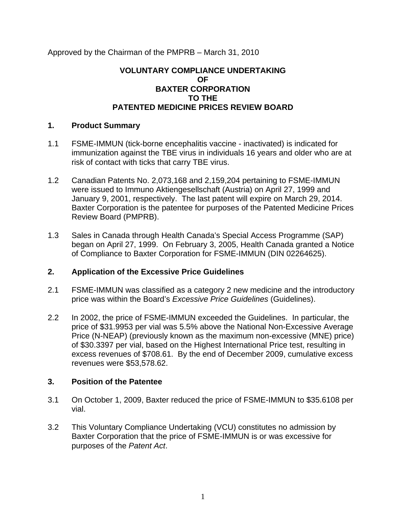Approved by the Chairman of the PMPRB – March 31, 2010

### **VOLUNTARY COMPLIANCE UNDERTAKING OF BAXTER CORPORATION TO THE PATENTED MEDICINE PRICES REVIEW BOARD**

#### **1. Product Summary**

- 1.1 FSME-IMMUN (tick-borne encephalitis vaccine inactivated) is indicated for immunization against the TBE virus in individuals 16 years and older who are at risk of contact with ticks that carry TBE virus.
- 1.2 Canadian Patents No. 2,073,168 and 2,159,204 pertaining to FSME-IMMUN were issued to Immuno Aktiengesellschaft (Austria) on April 27, 1999 and January 9, 2001, respectively. The last patent will expire on March 29, 2014. Baxter Corporation is the patentee for purposes of the Patented Medicine Prices Review Board (PMPRB).
- 1.3 Sales in Canada through Health Canada's Special Access Programme (SAP) began on April 27, 1999. On February 3, 2005, Health Canada granted a Notice of Compliance to Baxter Corporation for FSME-IMMUN (DIN 02264625).

# **2. Application of the Excessive Price Guidelines**

- 2.1 FSME-IMMUN was classified as a category 2 new medicine and the introductory price was within the Board's *Excessive Price Guidelines* (Guidelines).
- 2.2 In 2002, the price of FSME-IMMUN exceeded the Guidelines. In particular, the price of \$31.9953 per vial was 5.5% above the National Non-Excessive Average Price (N-NEAP) (previously known as the maximum non-excessive (MNE) price) of \$30.3397 per vial, based on the Highest International Price test, resulting in excess revenues of \$708.61. By the end of December 2009, cumulative excess revenues were \$53,578.62.

# **3. Position of the Patentee**

- 3.1 On October 1, 2009, Baxter reduced the price of FSME-IMMUN to \$35.6108 per vial.
- 3.2 This Voluntary Compliance Undertaking (VCU) constitutes no admission by Baxter Corporation that the price of FSME-IMMUN is or was excessive for purposes of the *Patent Act*.